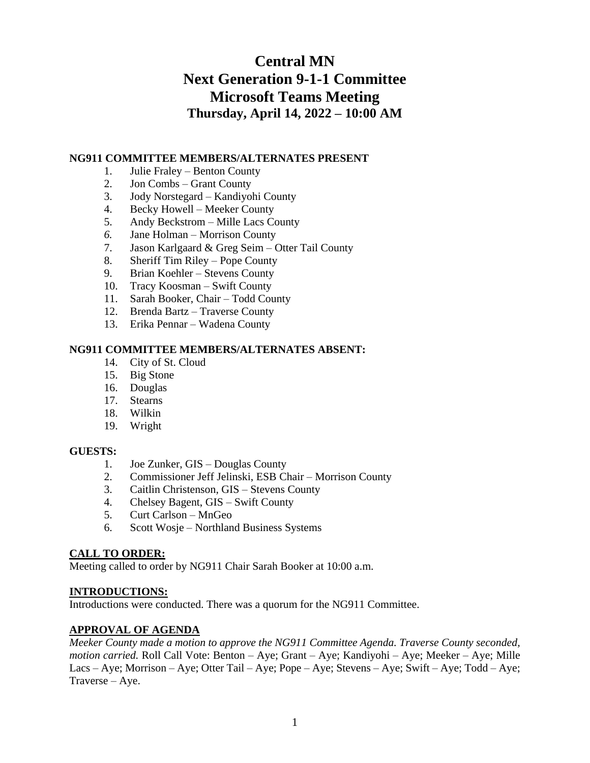# **Central MN Next Generation 9-1-1 Committee Microsoft Teams Meeting Thursday, April 14, 2022 – 10:00 AM**

## **NG911 COMMITTEE MEMBERS/ALTERNATES PRESENT**

- 1. Julie Fraley Benton County
- 2. Jon Combs Grant County
- 3. Jody Norstegard Kandiyohi County
- 4. Becky Howell Meeker County
- 5. Andy Beckstrom Mille Lacs County
- *6.* Jane Holman Morrison County
- 7. Jason Karlgaard & Greg Seim Otter Tail County
- 8. Sheriff Tim Riley Pope County
- 9. Brian Koehler Stevens County
- 10. Tracy Koosman Swift County
- 11. Sarah Booker, Chair Todd County
- 12. Brenda Bartz Traverse County
- 13. Erika Pennar Wadena County

## **NG911 COMMITTEE MEMBERS/ALTERNATES ABSENT:**

- 14. City of St. Cloud
- 15. Big Stone
- 16. Douglas
- 17. Stearns
- 18. Wilkin
- 19. Wright

## **GUESTS:**

- 1. Joe Zunker, GIS Douglas County
- 2. Commissioner Jeff Jelinski, ESB Chair Morrison County
- 3. Caitlin Christenson, GIS Stevens County
- 4. Chelsey Bagent, GIS Swift County
- 5. Curt Carlson MnGeo
- 6. Scott Wosje Northland Business Systems

## **CALL TO ORDER:**

Meeting called to order by NG911 Chair Sarah Booker at 10:00 a.m.

## **INTRODUCTIONS:**

Introductions were conducted. There was a quorum for the NG911 Committee.

## **APPROVAL OF AGENDA**

*Meeker County made a motion to approve the NG911 Committee Agenda. Traverse County seconded, motion carried.* Roll Call Vote: Benton – Aye; Grant – Aye; Kandiyohi – Aye; Meeker – Aye; Mille Lacs – Aye; Morrison – Aye; Otter Tail – Aye; Pope – Aye; Stevens – Aye; Swift – Aye; Todd – Aye; Traverse – Aye.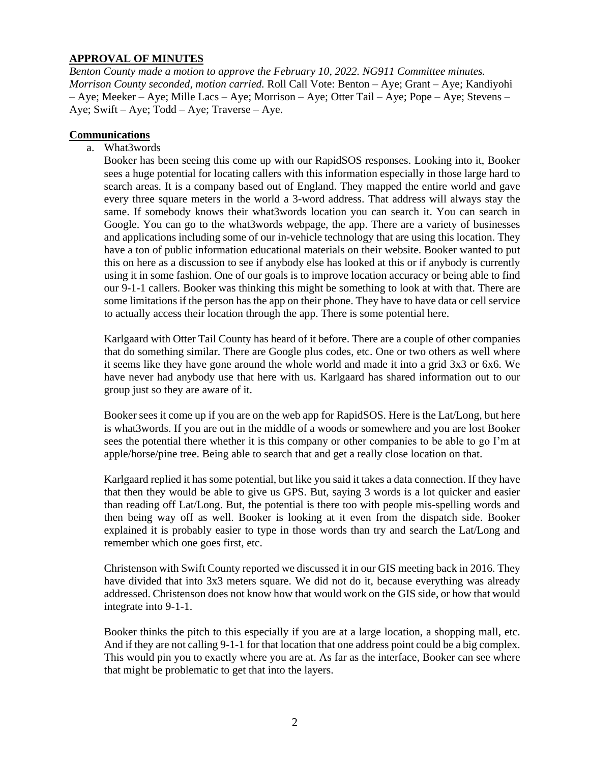## **APPROVAL OF MINUTES**

*Benton County made a motion to approve the February 10, 2022. NG911 Committee minutes. Morrison County seconded, motion carried.* Roll Call Vote: Benton – Aye; Grant – Aye; Kandiyohi – Aye; Meeker – Aye; Mille Lacs – Aye; Morrison – Aye; Otter Tail – Aye; Pope – Aye; Stevens – Aye; Swift – Aye; Todd – Aye; Traverse – Aye.

## **Communications**

a. What3words

Booker has been seeing this come up with our RapidSOS responses. Looking into it, Booker sees a huge potential for locating callers with this information especially in those large hard to search areas. It is a company based out of England. They mapped the entire world and gave every three square meters in the world a 3-word address. That address will always stay the same. If somebody knows their what3words location you can search it. You can search in Google. You can go to the what3words webpage, the app. There are a variety of businesses and applications including some of our in-vehicle technology that are using this location. They have a ton of public information educational materials on their website. Booker wanted to put this on here as a discussion to see if anybody else has looked at this or if anybody is currently using it in some fashion. One of our goals is to improve location accuracy or being able to find our 9-1-1 callers. Booker was thinking this might be something to look at with that. There are some limitations if the person has the app on their phone. They have to have data or cell service to actually access their location through the app. There is some potential here.

Karlgaard with Otter Tail County has heard of it before. There are a couple of other companies that do something similar. There are Google plus codes, etc. One or two others as well where it seems like they have gone around the whole world and made it into a grid 3x3 or 6x6. We have never had anybody use that here with us. Karlgaard has shared information out to our group just so they are aware of it.

Booker sees it come up if you are on the web app for RapidSOS. Here is the Lat/Long, but here is what3words. If you are out in the middle of a woods or somewhere and you are lost Booker sees the potential there whether it is this company or other companies to be able to go I'm at apple/horse/pine tree. Being able to search that and get a really close location on that.

Karlgaard replied it has some potential, but like you said it takes a data connection. If they have that then they would be able to give us GPS. But, saying 3 words is a lot quicker and easier than reading off Lat/Long. But, the potential is there too with people mis-spelling words and then being way off as well. Booker is looking at it even from the dispatch side. Booker explained it is probably easier to type in those words than try and search the Lat/Long and remember which one goes first, etc.

Christenson with Swift County reported we discussed it in our GIS meeting back in 2016. They have divided that into 3x3 meters square. We did not do it, because everything was already addressed. Christenson does not know how that would work on the GIS side, or how that would integrate into 9-1-1.

Booker thinks the pitch to this especially if you are at a large location, a shopping mall, etc. And if they are not calling 9-1-1 for that location that one address point could be a big complex. This would pin you to exactly where you are at. As far as the interface, Booker can see where that might be problematic to get that into the layers.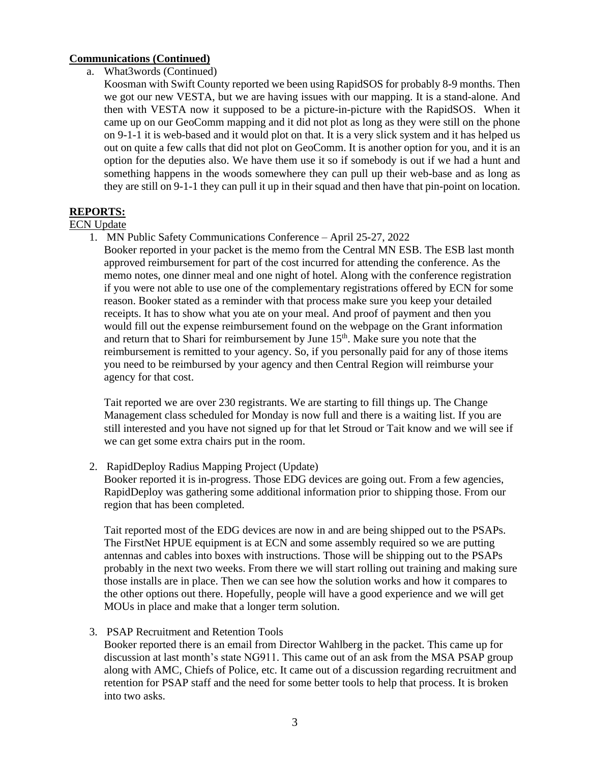## **Communications (Continued)**

- a. What3words (Continued)
	- Koosman with Swift County reported we been using RapidSOS for probably 8-9 months. Then we got our new VESTA, but we are having issues with our mapping. It is a stand-alone. And then with VESTA now it supposed to be a picture-in-picture with the RapidSOS. When it came up on our GeoComm mapping and it did not plot as long as they were still on the phone on 9-1-1 it is web-based and it would plot on that. It is a very slick system and it has helped us out on quite a few calls that did not plot on GeoComm. It is another option for you, and it is an option for the deputies also. We have them use it so if somebody is out if we had a hunt and something happens in the woods somewhere they can pull up their web-base and as long as they are still on 9-1-1 they can pull it up in their squad and then have that pin-point on location.

## **REPORTS:**

#### ECN Update

- 1. MN Public Safety Communications Conference April 25-27, 2022
	- Booker reported in your packet is the memo from the Central MN ESB. The ESB last month approved reimbursement for part of the cost incurred for attending the conference. As the memo notes, one dinner meal and one night of hotel. Along with the conference registration if you were not able to use one of the complementary registrations offered by ECN for some reason. Booker stated as a reminder with that process make sure you keep your detailed receipts. It has to show what you ate on your meal. And proof of payment and then you would fill out the expense reimbursement found on the webpage on the Grant information and return that to Shari for reimbursement by June  $15<sup>th</sup>$ . Make sure you note that the reimbursement is remitted to your agency. So, if you personally paid for any of those items you need to be reimbursed by your agency and then Central Region will reimburse your agency for that cost.

Tait reported we are over 230 registrants. We are starting to fill things up. The Change Management class scheduled for Monday is now full and there is a waiting list. If you are still interested and you have not signed up for that let Stroud or Tait know and we will see if we can get some extra chairs put in the room.

2. RapidDeploy Radius Mapping Project (Update)

Booker reported it is in-progress. Those EDG devices are going out. From a few agencies, RapidDeploy was gathering some additional information prior to shipping those. From our region that has been completed.

Tait reported most of the EDG devices are now in and are being shipped out to the PSAPs. The FirstNet HPUE equipment is at ECN and some assembly required so we are putting antennas and cables into boxes with instructions. Those will be shipping out to the PSAPs probably in the next two weeks. From there we will start rolling out training and making sure those installs are in place. Then we can see how the solution works and how it compares to the other options out there. Hopefully, people will have a good experience and we will get MOUs in place and make that a longer term solution.

#### 3. PSAP Recruitment and Retention Tools

Booker reported there is an email from Director Wahlberg in the packet. This came up for discussion at last month's state NG911. This came out of an ask from the MSA PSAP group along with AMC, Chiefs of Police, etc. It came out of a discussion regarding recruitment and retention for PSAP staff and the need for some better tools to help that process. It is broken into two asks.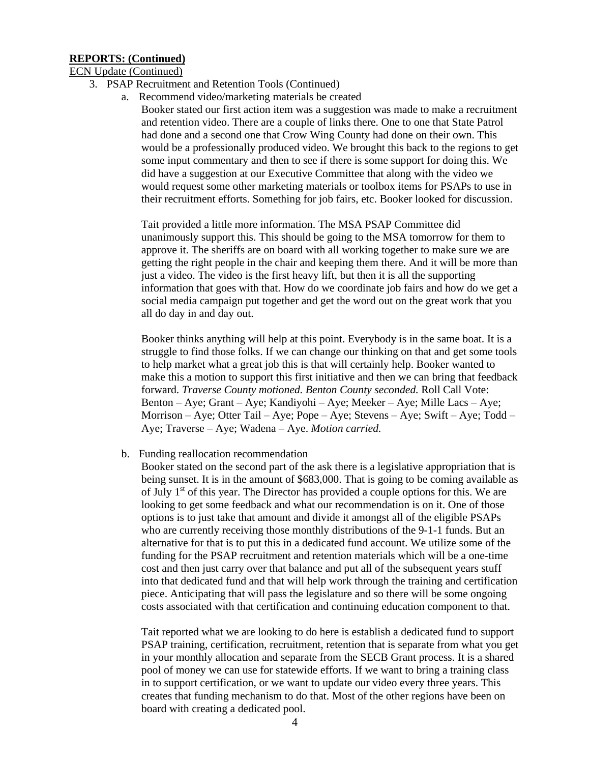#### **REPORTS: (Continued)**

ECN Update (Continued)

- 3. PSAP Recruitment and Retention Tools (Continued)
	- a. Recommend video/marketing materials be created

Booker stated our first action item was a suggestion was made to make a recruitment and retention video. There are a couple of links there. One to one that State Patrol had done and a second one that Crow Wing County had done on their own. This would be a professionally produced video. We brought this back to the regions to get some input commentary and then to see if there is some support for doing this. We did have a suggestion at our Executive Committee that along with the video we would request some other marketing materials or toolbox items for PSAPs to use in their recruitment efforts. Something for job fairs, etc. Booker looked for discussion.

Tait provided a little more information. The MSA PSAP Committee did unanimously support this. This should be going to the MSA tomorrow for them to approve it. The sheriffs are on board with all working together to make sure we are getting the right people in the chair and keeping them there. And it will be more than just a video. The video is the first heavy lift, but then it is all the supporting information that goes with that. How do we coordinate job fairs and how do we get a social media campaign put together and get the word out on the great work that you all do day in and day out.

Booker thinks anything will help at this point. Everybody is in the same boat. It is a struggle to find those folks. If we can change our thinking on that and get some tools to help market what a great job this is that will certainly help. Booker wanted to make this a motion to support this first initiative and then we can bring that feedback forward. *Traverse County motioned. Benton County seconded.* Roll Call Vote: Benton – Aye; Grant – Aye; Kandiyohi – Aye; Meeker – Aye; Mille Lacs – Aye; Morrison – Aye; Otter Tail – Aye; Pope – Aye; Stevens – Aye; Swift – Aye; Todd – Aye; Traverse – Aye; Wadena – Aye. *Motion carried.*

b. Funding reallocation recommendation

Booker stated on the second part of the ask there is a legislative appropriation that is being sunset. It is in the amount of \$683,000. That is going to be coming available as of July 1<sup>st</sup> of this year. The Director has provided a couple options for this. We are looking to get some feedback and what our recommendation is on it. One of those options is to just take that amount and divide it amongst all of the eligible PSAPs who are currently receiving those monthly distributions of the 9-1-1 funds. But an alternative for that is to put this in a dedicated fund account. We utilize some of the funding for the PSAP recruitment and retention materials which will be a one-time cost and then just carry over that balance and put all of the subsequent years stuff into that dedicated fund and that will help work through the training and certification piece. Anticipating that will pass the legislature and so there will be some ongoing costs associated with that certification and continuing education component to that.

Tait reported what we are looking to do here is establish a dedicated fund to support PSAP training, certification, recruitment, retention that is separate from what you get in your monthly allocation and separate from the SECB Grant process. It is a shared pool of money we can use for statewide efforts. If we want to bring a training class in to support certification, or we want to update our video every three years. This creates that funding mechanism to do that. Most of the other regions have been on board with creating a dedicated pool.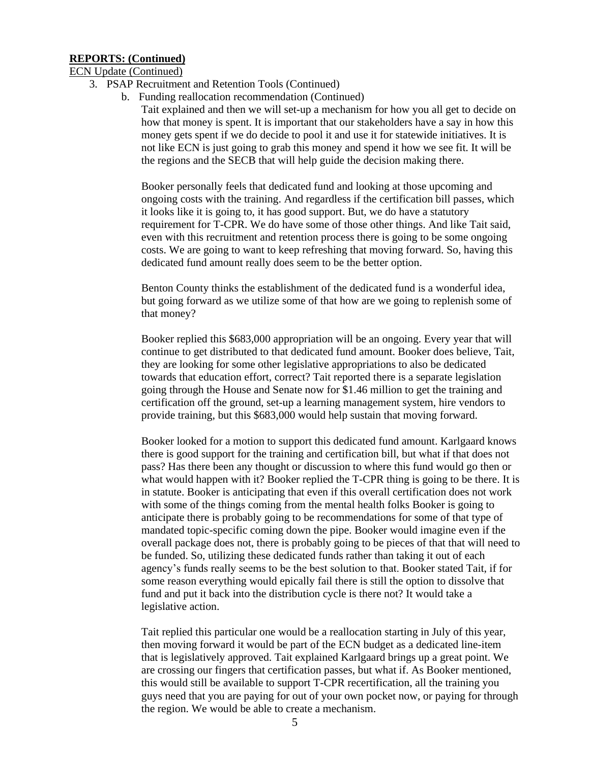#### **REPORTS: (Continued)**

ECN Update (Continued)

- 3. PSAP Recruitment and Retention Tools (Continued)
	- b. Funding reallocation recommendation (Continued)

Tait explained and then we will set-up a mechanism for how you all get to decide on how that money is spent. It is important that our stakeholders have a say in how this money gets spent if we do decide to pool it and use it for statewide initiatives. It is not like ECN is just going to grab this money and spend it how we see fit. It will be the regions and the SECB that will help guide the decision making there.

Booker personally feels that dedicated fund and looking at those upcoming and ongoing costs with the training. And regardless if the certification bill passes, which it looks like it is going to, it has good support. But, we do have a statutory requirement for T-CPR. We do have some of those other things. And like Tait said, even with this recruitment and retention process there is going to be some ongoing costs. We are going to want to keep refreshing that moving forward. So, having this dedicated fund amount really does seem to be the better option.

Benton County thinks the establishment of the dedicated fund is a wonderful idea, but going forward as we utilize some of that how are we going to replenish some of that money?

Booker replied this \$683,000 appropriation will be an ongoing. Every year that will continue to get distributed to that dedicated fund amount. Booker does believe, Tait, they are looking for some other legislative appropriations to also be dedicated towards that education effort, correct? Tait reported there is a separate legislation going through the House and Senate now for \$1.46 million to get the training and certification off the ground, set-up a learning management system, hire vendors to provide training, but this \$683,000 would help sustain that moving forward.

Booker looked for a motion to support this dedicated fund amount. Karlgaard knows there is good support for the training and certification bill, but what if that does not pass? Has there been any thought or discussion to where this fund would go then or what would happen with it? Booker replied the T-CPR thing is going to be there. It is in statute. Booker is anticipating that even if this overall certification does not work with some of the things coming from the mental health folks Booker is going to anticipate there is probably going to be recommendations for some of that type of mandated topic-specific coming down the pipe. Booker would imagine even if the overall package does not, there is probably going to be pieces of that that will need to be funded. So, utilizing these dedicated funds rather than taking it out of each agency's funds really seems to be the best solution to that. Booker stated Tait, if for some reason everything would epically fail there is still the option to dissolve that fund and put it back into the distribution cycle is there not? It would take a legislative action.

Tait replied this particular one would be a reallocation starting in July of this year, then moving forward it would be part of the ECN budget as a dedicated line-item that is legislatively approved. Tait explained Karlgaard brings up a great point. We are crossing our fingers that certification passes, but what if. As Booker mentioned, this would still be available to support T-CPR recertification, all the training you guys need that you are paying for out of your own pocket now, or paying for through the region. We would be able to create a mechanism.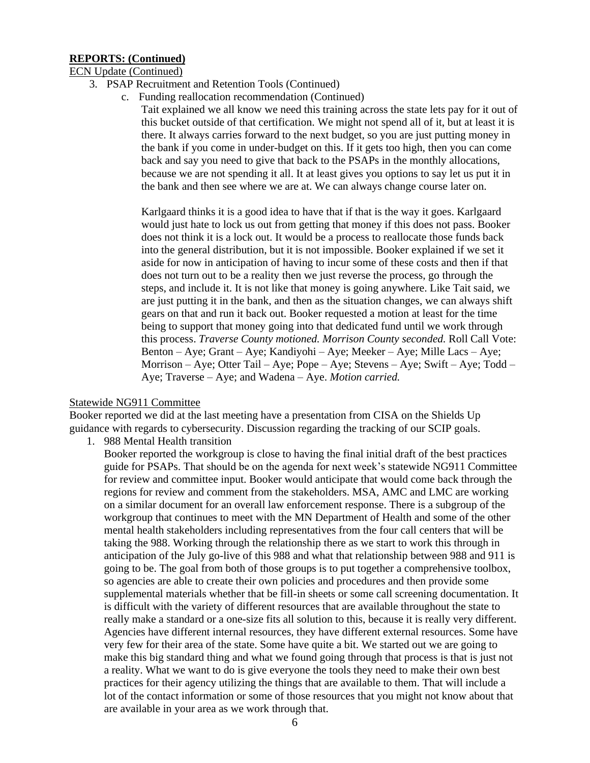#### **REPORTS: (Continued)**

#### ECN Update (Continued)

- 3. PSAP Recruitment and Retention Tools (Continued)
	- c. Funding reallocation recommendation (Continued)

Tait explained we all know we need this training across the state lets pay for it out of this bucket outside of that certification. We might not spend all of it, but at least it is there. It always carries forward to the next budget, so you are just putting money in the bank if you come in under-budget on this. If it gets too high, then you can come back and say you need to give that back to the PSAPs in the monthly allocations, because we are not spending it all. It at least gives you options to say let us put it in the bank and then see where we are at. We can always change course later on.

Karlgaard thinks it is a good idea to have that if that is the way it goes. Karlgaard would just hate to lock us out from getting that money if this does not pass. Booker does not think it is a lock out. It would be a process to reallocate those funds back into the general distribution, but it is not impossible. Booker explained if we set it aside for now in anticipation of having to incur some of these costs and then if that does not turn out to be a reality then we just reverse the process, go through the steps, and include it. It is not like that money is going anywhere. Like Tait said, we are just putting it in the bank, and then as the situation changes, we can always shift gears on that and run it back out. Booker requested a motion at least for the time being to support that money going into that dedicated fund until we work through this process. *Traverse County motioned. Morrison County seconded.* Roll Call Vote: Benton – Aye; Grant – Aye; Kandiyohi – Aye; Meeker – Aye; Mille Lacs – Aye; Morrison – Aye; Otter Tail – Aye; Pope – Aye; Stevens – Aye; Swift – Aye; Todd – Aye; Traverse – Aye; and Wadena – Aye. *Motion carried.* 

#### Statewide NG911 Committee

Booker reported we did at the last meeting have a presentation from CISA on the Shields Up guidance with regards to cybersecurity. Discussion regarding the tracking of our SCIP goals.

1. 988 Mental Health transition

Booker reported the workgroup is close to having the final initial draft of the best practices guide for PSAPs. That should be on the agenda for next week's statewide NG911 Committee for review and committee input. Booker would anticipate that would come back through the regions for review and comment from the stakeholders. MSA, AMC and LMC are working on a similar document for an overall law enforcement response. There is a subgroup of the workgroup that continues to meet with the MN Department of Health and some of the other mental health stakeholders including representatives from the four call centers that will be taking the 988. Working through the relationship there as we start to work this through in anticipation of the July go-live of this 988 and what that relationship between 988 and 911 is going to be. The goal from both of those groups is to put together a comprehensive toolbox, so agencies are able to create their own policies and procedures and then provide some supplemental materials whether that be fill-in sheets or some call screening documentation. It is difficult with the variety of different resources that are available throughout the state to really make a standard or a one-size fits all solution to this, because it is really very different. Agencies have different internal resources, they have different external resources. Some have very few for their area of the state. Some have quite a bit. We started out we are going to make this big standard thing and what we found going through that process is that is just not a reality. What we want to do is give everyone the tools they need to make their own best practices for their agency utilizing the things that are available to them. That will include a lot of the contact information or some of those resources that you might not know about that are available in your area as we work through that.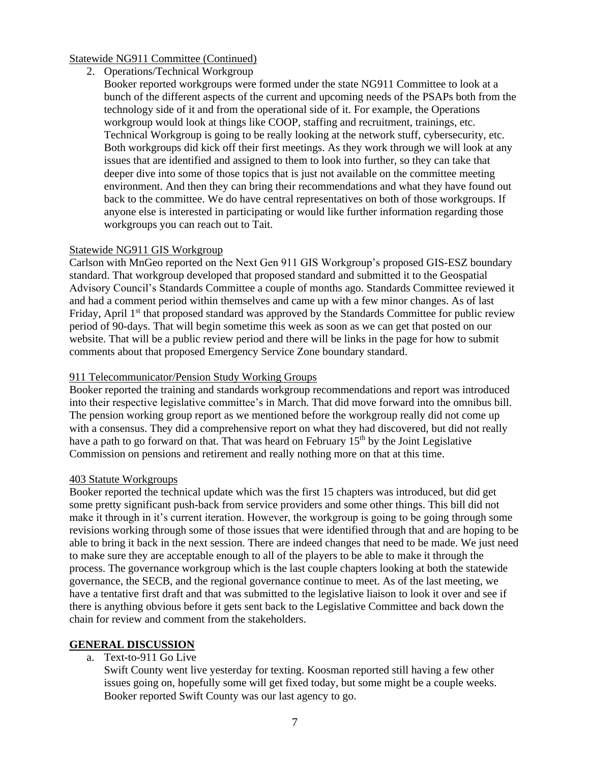## Statewide NG911 Committee (Continued)

- 2. Operations/Technical Workgroup
	- Booker reported workgroups were formed under the state NG911 Committee to look at a bunch of the different aspects of the current and upcoming needs of the PSAPs both from the technology side of it and from the operational side of it. For example, the Operations workgroup would look at things like COOP, staffing and recruitment, trainings, etc. Technical Workgroup is going to be really looking at the network stuff, cybersecurity, etc. Both workgroups did kick off their first meetings. As they work through we will look at any issues that are identified and assigned to them to look into further, so they can take that deeper dive into some of those topics that is just not available on the committee meeting environment. And then they can bring their recommendations and what they have found out back to the committee. We do have central representatives on both of those workgroups. If anyone else is interested in participating or would like further information regarding those workgroups you can reach out to Tait.

#### Statewide NG911 GIS Workgroup

Carlson with MnGeo reported on the Next Gen 911 GIS Workgroup's proposed GIS-ESZ boundary standard. That workgroup developed that proposed standard and submitted it to the Geospatial Advisory Council's Standards Committee a couple of months ago. Standards Committee reviewed it and had a comment period within themselves and came up with a few minor changes. As of last Friday, April 1<sup>st</sup> that proposed standard was approved by the Standards Committee for public review period of 90-days. That will begin sometime this week as soon as we can get that posted on our website. That will be a public review period and there will be links in the page for how to submit comments about that proposed Emergency Service Zone boundary standard.

## 911 Telecommunicator/Pension Study Working Groups

Booker reported the training and standards workgroup recommendations and report was introduced into their respective legislative committee's in March. That did move forward into the omnibus bill. The pension working group report as we mentioned before the workgroup really did not come up with a consensus. They did a comprehensive report on what they had discovered, but did not really have a path to go forward on that. That was heard on February 15<sup>th</sup> by the Joint Legislative Commission on pensions and retirement and really nothing more on that at this time.

#### 403 Statute Workgroups

Booker reported the technical update which was the first 15 chapters was introduced, but did get some pretty significant push-back from service providers and some other things. This bill did not make it through in it's current iteration. However, the workgroup is going to be going through some revisions working through some of those issues that were identified through that and are hoping to be able to bring it back in the next session. There are indeed changes that need to be made. We just need to make sure they are acceptable enough to all of the players to be able to make it through the process. The governance workgroup which is the last couple chapters looking at both the statewide governance, the SECB, and the regional governance continue to meet. As of the last meeting, we have a tentative first draft and that was submitted to the legislative liaison to look it over and see if there is anything obvious before it gets sent back to the Legislative Committee and back down the chain for review and comment from the stakeholders.

## **GENERAL DISCUSSION**

a. Text-to-911 Go Live

Swift County went live yesterday for texting. Koosman reported still having a few other issues going on, hopefully some will get fixed today, but some might be a couple weeks. Booker reported Swift County was our last agency to go.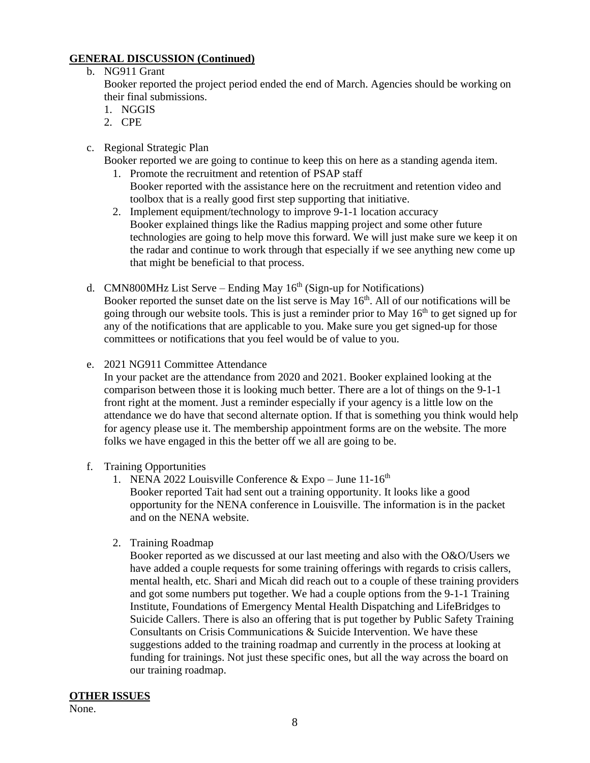## **GENERAL DISCUSSION (Continued)**

b. NG911 Grant

Booker reported the project period ended the end of March. Agencies should be working on their final submissions.

- 1. NGGIS
- 2. CPE

c. Regional Strategic Plan

Booker reported we are going to continue to keep this on here as a standing agenda item.

- 1. Promote the recruitment and retention of PSAP staff Booker reported with the assistance here on the recruitment and retention video and toolbox that is a really good first step supporting that initiative.
- 2. Implement equipment/technology to improve 9-1-1 location accuracy Booker explained things like the Radius mapping project and some other future technologies are going to help move this forward. We will just make sure we keep it on the radar and continue to work through that especially if we see anything new come up that might be beneficial to that process.
- d. CMN800MHz List Serve Ending May  $16<sup>th</sup>$  (Sign-up for Notifications) Booker reported the sunset date on the list serve is May  $16<sup>th</sup>$ . All of our notifications will be going through our website tools. This is just a reminder prior to May  $16<sup>th</sup>$  to get signed up for any of the notifications that are applicable to you. Make sure you get signed-up for those committees or notifications that you feel would be of value to you.
- e. 2021 NG911 Committee Attendance

In your packet are the attendance from 2020 and 2021. Booker explained looking at the comparison between those it is looking much better. There are a lot of things on the 9-1-1 front right at the moment. Just a reminder especially if your agency is a little low on the attendance we do have that second alternate option. If that is something you think would help for agency please use it. The membership appointment forms are on the website. The more folks we have engaged in this the better off we all are going to be.

- f. Training Opportunities
	- 1. NENA 2022 Louisville Conference  $&$  Expo June 11-16<sup>th</sup> Booker reported Tait had sent out a training opportunity. It looks like a good opportunity for the NENA conference in Louisville. The information is in the packet and on the NENA website.
	- 2. Training Roadmap

Booker reported as we discussed at our last meeting and also with the O&O/Users we have added a couple requests for some training offerings with regards to crisis callers, mental health, etc. Shari and Micah did reach out to a couple of these training providers and got some numbers put together. We had a couple options from the 9-1-1 Training Institute, Foundations of Emergency Mental Health Dispatching and LifeBridges to Suicide Callers. There is also an offering that is put together by Public Safety Training Consultants on Crisis Communications & Suicide Intervention. We have these suggestions added to the training roadmap and currently in the process at looking at funding for trainings. Not just these specific ones, but all the way across the board on our training roadmap.

## **OTHER ISSUES**

None.